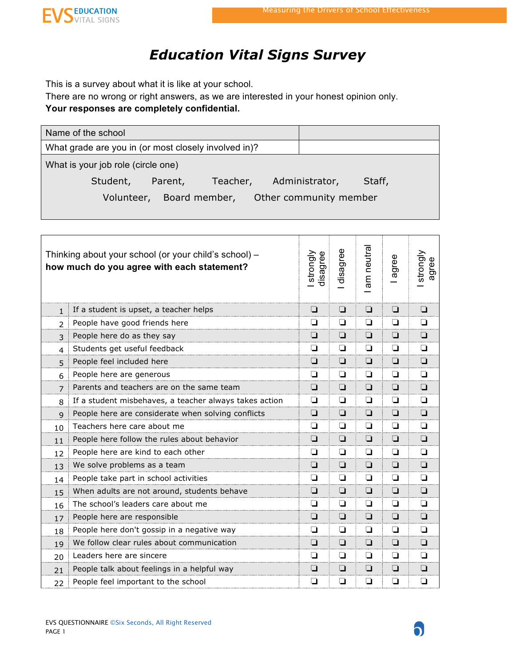$\mathbf{\Omega}$ 



## *Education Vital Signs Survey*

This is a survey about what it is like at your school.

There are no wrong or right answers, as we are interested in your honest opinion only. **Your responses are completely confidential.**

| Name of the school                                   |                          |
|------------------------------------------------------|--------------------------|
| What grade are you in (or most closely involved in)? |                          |
| What is your job role (circle one)                   |                          |
| Teacher,<br>Student,<br>Parent,                      | Administrator,<br>Staff, |
| Volunteer, Board member,                             | Other community member   |
|                                                      |                          |
|                                                      |                          |

|                | Thinking about your school (or your child's school) -<br>how much do you agree with each statement? | strongly<br>disagree | disagree | am neutra | agree  | strongly<br>agree |
|----------------|-----------------------------------------------------------------------------------------------------|----------------------|----------|-----------|--------|-------------------|
| $\mathbf{1}$   | If a student is upset, a teacher helps                                                              | ❏                    | ❏        | $\Box$    | $\Box$ | ❏                 |
| $\overline{2}$ | People have good friends here                                                                       | ◘                    | ❏        | ◘         | $\Box$ | ❏                 |
| 3              | People here do as they say                                                                          | $\Box$               | $\Box$   | $\Box$    | $\Box$ | ❏                 |
| 4              | Students get useful feedback                                                                        | ❏                    | ❏        | $\Box$    | ❏      | $\Box$            |
| 5              | People feel included here                                                                           | ❏                    | $\Box$   | $\Box$    | $\Box$ | $\Box$            |
| 6              | People here are generous                                                                            | ❏                    | ❏        | $\Box$    | □      | ◘                 |
| $\overline{7}$ | Parents and teachers are on the same team                                                           | ◘                    | $\Box$   | $\Box$    | $\Box$ | $\Box$            |
| 8              | If a student misbehaves, a teacher always takes action                                              | ◘                    | ◘        | $\Box$    | $\Box$ | □                 |
| $\mathsf{q}$   | People here are considerate when solving conflicts                                                  | ❏                    | ❏        | $\Box$    | $\Box$ | $\Box$            |
| 10             | Teachers here care about me                                                                         | ◻                    | ⊔        | ❏         | ❏      | ❏                 |
| 11             | People here follow the rules about behavior                                                         | ❏                    | $\Box$   | $\Box$    | $\Box$ | $\Box$            |
| 12             | People here are kind to each other                                                                  | ❏                    | ❏        | ◘         | ❏      | □                 |
| 13             | We solve problems as a team                                                                         | ❏                    | ❏        | $\Box$    | $\Box$ | ◻                 |
| 14             | People take part in school activities                                                               | ❏                    | ❏        | ❏         | ❏      | ❏                 |
| 1.5            | When adults are not around, students behave                                                         | $\Box$               | $\Box$   | $\Box$    | $\Box$ | $\Box$            |
| 16             | The school's leaders care about me                                                                  | ❏                    | $\Box$   | ❏         | $\Box$ | ◘                 |
| 17             | People here are responsible                                                                         | ❏                    | $\Box$   | □         | $\Box$ | $\Box$            |
| 18             | People here don't gossip in a negative way                                                          | ❏                    | ❏        | ❏         | ❏      | ❏                 |
| 19             | We follow clear rules about communication                                                           | ❏                    | $\Box$   | $\Box$    | $\Box$ | $\Box$            |
| 20             | Leaders here are sincere                                                                            | ❏                    | $\Box$   | ❏         | $\Box$ | ◘                 |
| 21             | People talk about feelings in a helpful way                                                         | ❏                    | ❏        | $\Box$    | $\Box$ | $\Box$            |
| 22             | People feel important to the school                                                                 | ❏                    | ❏        | ◘         | ❏      | ❏                 |